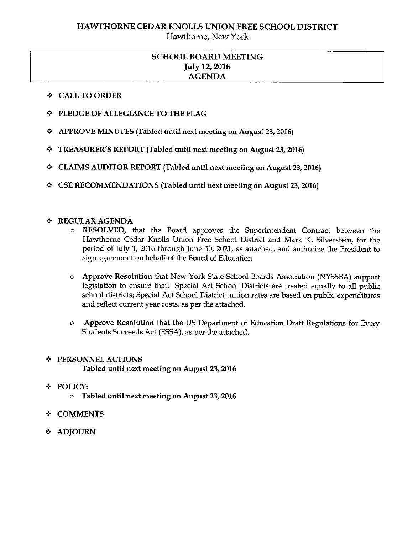# HAWTHORNE CEDAR KNOLLS UNION FREE SCHOOL DISTRICT

Hawthorne, New York

## SCHOOL BOARD MEETING July 12, 2016 AGENDA

#### + CALL TO ORDER

- + PLEDGE OF ALLEGIANCE TO THE FLAG
- $\div$  APPROVE MINUTES (Tabled until next meeting on August 23, 2016)
- + TREASURER'S REPORT (Tabled until next meeting on August 23, 2016)
- + CLAIMS AUDITOR REPORT (Tabled until next meeting on August 23, 2016)
- + CSE RECOMMENDATIONS (Tabled until next meeting on August 23, 2016)

#### + REGULAR AGENDA

- o RESOLVED, that the Board approves the Superintendent Contract between the Hawthorne Cedar Knolls Union Free School District and Mark K. Silverstein, for the period of July 1, 2016 through June 30, 2021, as attached, and authorize the President to sign agreement on behalf of the Board of Education.
- o Approve Resolution that New York State School Boards Association (NYSSBA) support legislation to ensure that: Special Act School Districts are treated equally to all public school districts; Special Act School District tuition rates are based on public expenditures and reflect current year costs, as per the attached.
- o Approve Resolution that the US Department of Education Draft Regulations for Every Students Succeeds Act (ESSA), as per the attached.

### + PERSONNEL ACTIONS

Tabled until next meeting on August 23, 2016

- + POLICY:
	- <sup>o</sup> Tabled until next meeting on August 23, 2016
- + COMMENTS
- + ADJOURN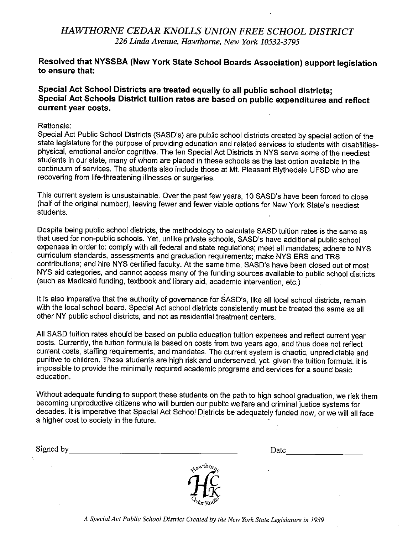# HAWTHORNE CEDAR KNOLLS UNION FREE SCHOOL DISTRICT 226 Linda Avenue, Hawthorne, New York 10532-3795

#### Resolved that NYSSBA (New York State School Boards Association) support legislation to ensure that:

#### Special Act School Districts are treated equally to all public school districts; Special Act Schools District tuition rates are based on public expenditures and reflect current year costs.

#### Rationale:

Special Act Public School Districts (SASD's) are public school districts created by special action of the state legislature for the purpose of providing education and related services to students with disabilitiesphysical, emotional and/or cognitive. The ten Special Act Districts in NYS serve some of the neediest students in our state, many of whom are placed in these schools as the last option available in the continuum of services. The students also include those at Mt. Pleasant Blythedale UFSD who are recovering from life-threatening illnesses or surgeries.

This current system is unsustainable. Over the past few years, 10 SASD's have been forced to close (half of the original number), leaving fewer and fewer viable options for New York State's neediest students.

Despite being public school districts, the methodology to calculate SASD tuition rates is the same as that used for non-public schools. Yet, unlike private schools, SASD's have additional public school expenses in order to: comply with all federal and state regulations; meet all mandates; adhere to NYS curriculum standards, assessments and graduation requirements; make NYS ERS and TRS contributions; and hire NYS certified faculty. At the same time, SASD's have been closed out of most NYS aid categories, and cannot access many of the funding sources available to public school districts (such as Medicaid funding, textbook and library aid, academic intervention, etc.)

It is also imperative that the authority of governance for SASD's, like all local school districts, remain with the local school board. Special Act school districts consistently must be treated the same as all other NY public school districts, and not as residential treatment centers.

All SASD tuition rates should be based on public education tuition expenses and reflect current year costs. Currently, the tuition formula is based on costs from two years ago, and thus does not reflect current costs, staffing requirements, and mandates. The current system is chaotic, unpredictable and punitive to children. These students are high risk and underserved, yet, given the tuition formula, it is impossible to provide the minimally required academic programs and services for a sound basic education.

Without adequate funding to support these students on the path to high school graduation, we risk them becoming unproductive citizens who will burden our public welfare and criminal justice systems for decades. It is imperative that Special Act School Districts be adequately funded now, or we will all face a higher cost to society in the future.

Signed by Date



A Special Act Public School District Created by the New York State Legislature in 1939